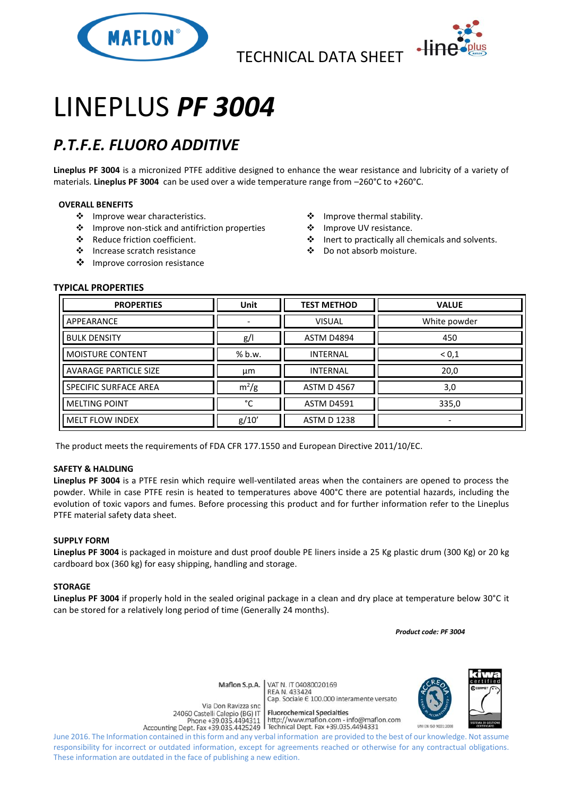

TECHNICAL DATA SHEET



# LINEPLUS *PF 3004*

## *P.T.F.E. FLUORO ADDITIVE*

**Lineplus PF 3004** is a micronized PTFE additive designed to enhance the wear resistance and lubricity of a variety of materials. **Lineplus PF 3004** can be used over a wide temperature range from –260°C to +260°C.

### **OVERALL BENEFITS**

- ❖ Improve wear characteristics.
- ❖ Improve non-stick and antifriction properties
- ◆ Reduce friction coefficient.
- ❖ Increase scratch resistance
- ❖ Improve corrosion resistance
- ❖ Improve thermal stability.
- ❖ Improve UV resistance.
- ❖ Inert to practically all chemicals and solvents.
- Do not absorb moisture.

### **TYPICAL PROPERTIES**

| <b>PROPERTIES</b>            | Unit    | <b>TEST METHOD</b> | <b>VALUE</b> |
|------------------------------|---------|--------------------|--------------|
| APPEARANCE                   |         | <b>VISUAL</b>      | White powder |
| <b>BULK DENSITY</b>          | g/      | ASTM D4894         | 450          |
| MOISTURE CONTENT             | % b.w.  | <b>INTERNAL</b>    | < 0.1        |
| <b>AVARAGE PARTICLE SIZE</b> | μm      | <b>INTERNAL</b>    | 20,0         |
| SPECIFIC SURFACE AREA        | $m^2/g$ | <b>ASTM D 4567</b> | 3,0          |
| <b>MELTING POINT</b>         | °C      | <b>ASTM D4591</b>  | 335,0        |
| <b>MELT FLOW INDEX</b>       | g/10'   | <b>ASTM D 1238</b> |              |

The product meets the requirements of FDA CFR 177.1550 and European Directive 2011/10/EC.

### **SAFETY & HALDLING**

**Lineplus PF 3004** is a PTFE resin which require well-ventilated areas when the containers are opened to process the powder. While in case PTFE resin is heated to temperatures above 400°C there are potential hazards, including the evolution of toxic vapors and fumes. Before processing this product and for further information refer to the Lineplus PTFE material safety data sheet.

### **SUPPLY FORM**

**Lineplus PF 3004** is packaged in moisture and dust proof double PE liners inside a 25 Kg plastic drum (300 Kg) or 20 kg cardboard box (360 kg) for easy shipping, handling and storage.

### **STORAGE**

**Lineplus PF 3004** if properly hold in the sealed original package in a clean and dry place at temperature below 30°C it can be stored for a relatively long period of time (Generally 24 months).

 *Product code: PF 3004*

VAT N. IT 04080020169 Maflon S.p.A. REA N. 433424

Cap. Sociale E 100.000 interamente versato



Via Don Ravizza snc 24060 Castelli Calepio (BG) IT Phone +39.035.4494311 Accounting Dept. Fax +39.035.4425249 | Technical Dept. Fax +39.035.4494331

**Fluorochemical Specialties** http://www.maflon.com - info@maflon.com

June 2016. The Information contained in this form and any verbal information are provided to the best of our knowledge. Not assume responsibility for incorrect or outdated information, except for agreements reached or otherwise for any contractual obligations. These information are outdated in the face of publishing a new edition.